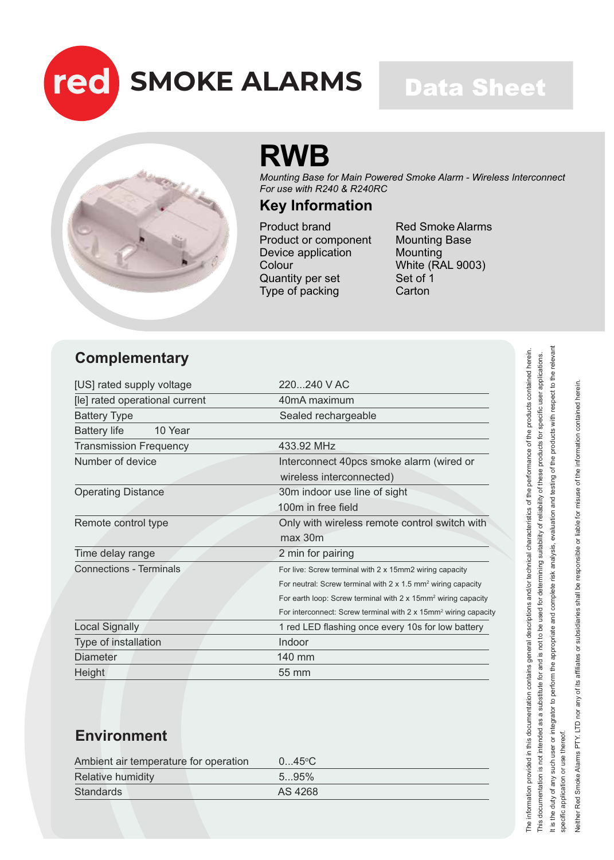

### **Data Sheet**



## **RWB**

*Mounting Base for Main Powered Smoke Alarm - Wireless Interconnect For use with R240 & R240RC*

#### **Key Information**

Product brand Product or component Device application Colour Quantity per set Type of packing

Red Smoke Alarms Mounting Base Mounting White (RAL 9003) Set of 1 **Carton** 

#### **Complementary**

| [US] rated supply voltage      | $220240$ V AC                                                                     |
|--------------------------------|-----------------------------------------------------------------------------------|
| [le] rated operational current | 40mA maximum                                                                      |
| <b>Battery Type</b>            | Sealed rechargeable                                                               |
| <b>Battery life</b><br>10 Year |                                                                                   |
| <b>Transmission Frequency</b>  | 433.92 MHz                                                                        |
| Number of device               | Interconnect 40pcs smoke alarm (wired or                                          |
|                                | wireless interconnected)                                                          |
| <b>Operating Distance</b>      | 30m indoor use line of sight                                                      |
|                                | 100m in free field                                                                |
| Remote control type            | Only with wireless remote control switch with                                     |
|                                | max 30m                                                                           |
| Time delay range               | 2 min for pairing                                                                 |
| <b>Connections - Terminals</b> | For live: Screw terminal with 2 x 15mm2 wiring capacity                           |
|                                | For neutral: Screw terminal with $2 \times 1.5$ mm <sup>2</sup> wiring capacity   |
|                                | For earth loop: Screw terminal with $2 \times 15$ mm <sup>2</sup> wiring capacity |
|                                | For interconnect: Screw terminal with 2 x 15mm <sup>2</sup> wiring capacity       |
| <b>Local Signally</b>          | 1 red LED flashing once every 10s for low battery                                 |
| Type of installation           | Indoor                                                                            |
| <b>Diameter</b>                | 140 mm                                                                            |
| Height                         | 55 mm                                                                             |

#### **Environment**

| Ambient air temperature for operation | $045$ °C |  |
|---------------------------------------|----------|--|
| <b>Relative humidity</b>              | 595%     |  |
| <b>Standards</b>                      | AS 4268  |  |

Neither Red Smoke Alarms PTY. LTD nor any of its affiliates or subsidiaries shall be responsible or liable for misuse of the information contained herein. Neither Red Smoke Alarms PTY. LTD nor any of its affiliates or subsidiaries shall be responsible or liable for misuse of the information contained herein specific application or use thereof. specific application or use thereof.

it is the duty of any such user or integrator to perform the appropriate and complete risk analysis, evaluation and testing of the products with respect to the relevant

The information provided in this documentation contains general descriptions and/or technical characteristics of the performance of the products contained herein. This documentation is not intended as a substitute for and is not to be used for determining suitability of reliability of these products for specific user applications. It is the duty of any such user or integrator to perform the appropriate and complete risk analysis, evaluation and testing of the products with respect to the relevant

The information provided in this documentation contains general descriptions and/or technical characteristics of the performance of the products contained herein This documentation is not intended as a substitute for and is not to be used for determining suitability of reliability of these products for specific user applications.